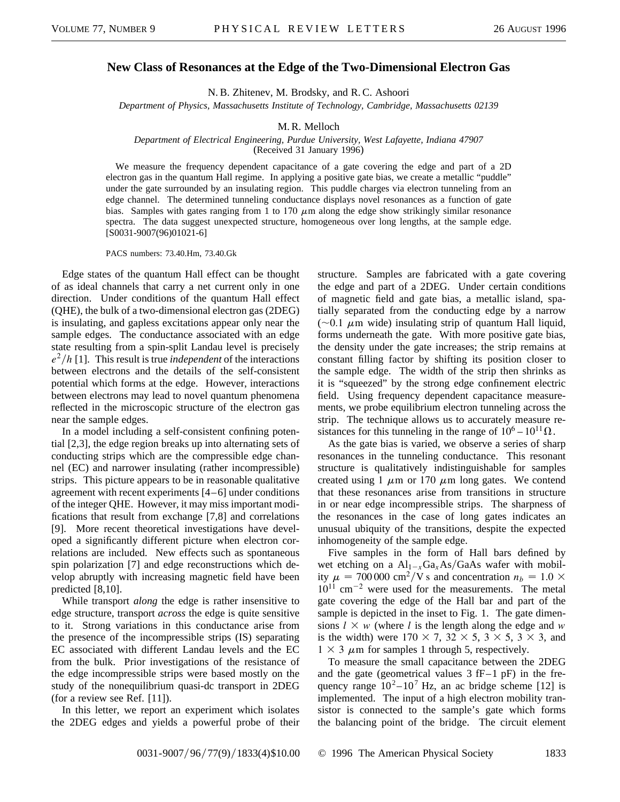## **New Class of Resonances at the Edge of the Two-Dimensional Electron Gas**

N. B. Zhitenev, M. Brodsky, and R. C. Ashoori

*Department of Physics, Massachusetts Institute of Technology, Cambridge, Massachusetts 02139*

## M. R. Melloch

## *Department of Electrical Engineering, Purdue University, West Lafayette, Indiana 47907* (Received 31 January 1996)

We measure the frequency dependent capacitance of a gate covering the edge and part of a 2D electron gas in the quantum Hall regime. In applying a positive gate bias, we create a metallic "puddle" under the gate surrounded by an insulating region. This puddle charges via electron tunneling from an edge channel. The determined tunneling conductance displays novel resonances as a function of gate bias. Samples with gates ranging from 1 to 170  $\mu$ m along the edge show strikingly similar resonance spectra. The data suggest unexpected structure, homogeneous over long lengths, at the sample edge. [S0031-9007(96)01021-6]

PACS numbers: 73.40.Hm, 73.40.Gk

Edge states of the quantum Hall effect can be thought of as ideal channels that carry a net current only in one direction. Under conditions of the quantum Hall effect (QHE), the bulk of a two-dimensional electron gas (2DEG) is insulating, and gapless excitations appear only near the sample edges. The conductance associated with an edge state resulting from a spin-split Landau level is precisely  $e^2/h$  [1]. This result is true *independent* of the interactions between electrons and the details of the self-consistent potential which forms at the edge. However, interactions between electrons may lead to novel quantum phenomena reflected in the microscopic structure of the electron gas near the sample edges.

In a model including a self-consistent confining potential [2,3], the edge region breaks up into alternating sets of conducting strips which are the compressible edge channel (EC) and narrower insulating (rather incompressible) strips. This picture appears to be in reasonable qualitative agreement with recent experiments [4–6] under conditions of the integer QHE. However, it may miss important modifications that result from exchange [7,8] and correlations [9]. More recent theoretical investigations have developed a significantly different picture when electron correlations are included. New effects such as spontaneous spin polarization [7] and edge reconstructions which develop abruptly with increasing magnetic field have been predicted [8,10].

While transport *along* the edge is rather insensitive to edge structure, transport *across* the edge is quite sensitive to it. Strong variations in this conductance arise from the presence of the incompressible strips (IS) separating EC associated with different Landau levels and the EC from the bulk. Prior investigations of the resistance of the edge incompressible strips were based mostly on the study of the nonequilibrium quasi-dc transport in 2DEG (for a review see Ref. [11]).

In this letter, we report an experiment which isolates the 2DEG edges and yields a powerful probe of their structure. Samples are fabricated with a gate covering the edge and part of a 2DEG. Under certain conditions of magnetic field and gate bias, a metallic island, spatially separated from the conducting edge by a narrow  $(\sim 0.1 \mu m$  wide) insulating strip of quantum Hall liquid, forms underneath the gate. With more positive gate bias, the density under the gate increases; the strip remains at constant filling factor by shifting its position closer to the sample edge. The width of the strip then shrinks as it is "squeezed" by the strong edge confinement electric field. Using frequency dependent capacitance measurements, we probe equilibrium electron tunneling across the strip. The technique allows us to accurately measure resistances for this tunneling in the range of  $10^6 - 10^{11} \Omega$ .

As the gate bias is varied, we observe a series of sharp resonances in the tunneling conductance. This resonant structure is qualitatively indistinguishable for samples created using 1  $\mu$ m or 170  $\mu$ m long gates. We contend that these resonances arise from transitions in structure in or near edge incompressible strips. The sharpness of the resonances in the case of long gates indicates an unusual ubiquity of the transitions, despite the expected inhomogeneity of the sample edge.

Five samples in the form of Hall bars defined by wet etching on a  $Al_{1-x}Ga_xAs/GaAs$  wafer with mobility  $\mu = 700000 \text{ cm}^2/\text{V s}$  and concentration  $n_b = 1.0 \times$  $10^{11}$  cm<sup>-2</sup> were used for the measurements. The metal gate covering the edge of the Hall bar and part of the sample is depicted in the inset to Fig. 1. The gate dimensions  $l \times w$  (where *l* is the length along the edge and *w* is the width) were  $170 \times 7$ ,  $32 \times 5$ ,  $3 \times 5$ ,  $3 \times 3$ , and  $1 \times 3$   $\mu$ m for samples 1 through 5, respectively.

To measure the small capacitance between the 2DEG and the gate (geometrical values  $3$  fF-1 pF) in the frequency range  $10^2 - 10^7$  Hz, an ac bridge scheme [12] is implemented. The input of a high electron mobility transistor is connected to the sample's gate which forms the balancing point of the bridge. The circuit element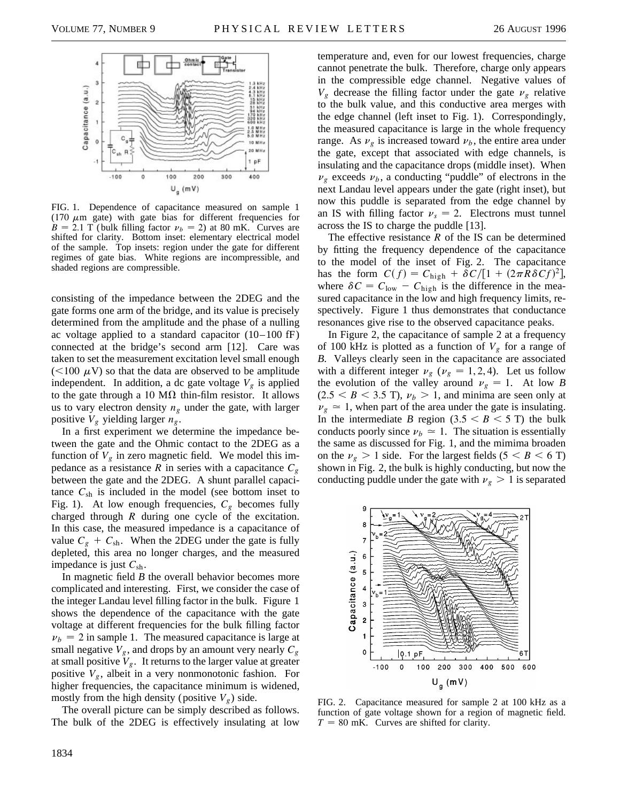

FIG. 1. Dependence of capacitance measured on sample 1 (170  $\mu$ m gate) with gate bias for different frequencies for  $B = 2.1$  T (bulk filling factor  $v_b = 2$ ) at 80 mK. Curves are shifted for clarity. Bottom inset: elementary electrical model of the sample. Top insets: region under the gate for different regimes of gate bias. White regions are incompressible, and shaded regions are compressible.

consisting of the impedance between the 2DEG and the gate forms one arm of the bridge, and its value is precisely determined from the amplitude and the phase of a nulling ac voltage applied to a standard capacitor  $(10-100 \text{ fF})$ connected at the bridge's second arm [12]. Care was taken to set the measurement excitation level small enough  $(<100 \mu V)$  so that the data are observed to be amplitude independent. In addition, a dc gate voltage  $V_g$  is applied to the gate through a 10 M $\Omega$  thin-film resistor. It allows us to vary electron density  $n_g$  under the gate, with larger positive  $V_g$  yielding larger  $n_g$ .

In a first experiment we determine the impedance between the gate and the Ohmic contact to the 2DEG as a function of  $V_g$  in zero magnetic field. We model this impedance as a resistance *R* in series with a capacitance  $C_g$ between the gate and the 2DEG. A shunt parallel capacitance  $C_{\rm sh}$  is included in the model (see bottom inset to Fig. 1). At low enough frequencies,  $C_g$  becomes fully charged through *R* during one cycle of the excitation. In this case, the measured impedance is a capacitance of value  $C_g + C_{sh}$ . When the 2DEG under the gate is fully depleted, this area no longer charges, and the measured impedance is just *C*sh.

In magnetic field *B* the overall behavior becomes more complicated and interesting. First, we consider the case of the integer Landau level filling factor in the bulk. Figure 1 shows the dependence of the capacitance with the gate voltage at different frequencies for the bulk filling factor  $\nu_b = 2$  in sample 1. The measured capacitance is large at small negative  $V_g$ , and drops by an amount very nearly  $C_g$ at small positive  $V_g$ . It returns to the larger value at greater positive  $V_g$ , albeit in a very nonmonotonic fashion. For higher frequencies, the capacitance minimum is widened, mostly from the high density (positive  $V_g$ ) side.

The overall picture can be simply described as follows. The bulk of the 2DEG is effectively insulating at low

temperature and, even for our lowest frequencies, charge cannot penetrate the bulk. Therefore, charge only appears in the compressible edge channel. Negative values of  $V_g$  decrease the filling factor under the gate  $v_g$  relative to the bulk value, and this conductive area merges with the edge channel (left inset to Fig. 1). Correspondingly, the measured capacitance is large in the whole frequency range. As  $\nu_{\varrho}$  is increased toward  $\nu_{b}$ , the entire area under the gate, except that associated with edge channels, is insulating and the capacitance drops (middle inset). When  $\nu_g$  exceeds  $\nu_b$ , a conducting "puddle" of electrons in the next Landau level appears under the gate (right inset), but now this puddle is separated from the edge channel by an IS with filling factor  $v_s = 2$ . Electrons must tunnel across the IS to charge the puddle [13].

The effective resistance *R* of the IS can be determined by fitting the frequency dependence of the capacitance to the model of the inset of Fig. 2. The capacitance has the form  $C(f) = C_{\text{high}} + \frac{\delta C}{[1 + (2\pi R \delta C f)^2]}$ , where  $\delta C = C_{\text{low}} - C_{\text{high}}$  is the difference in the measured capacitance in the low and high frequency limits, respectively. Figure 1 thus demonstrates that conductance resonances give rise to the observed capacitance peaks.

In Figure 2, the capacitance of sample 2 at a frequency of 100 kHz is plotted as a function of  $V_g$  for a range of *B*. Valleys clearly seen in the capacitance are associated with a different integer  $\nu_g$  ( $\nu_g$  = 1, 2, 4). Let us follow the evolution of the valley around  $v_g = 1$ . At low *B*  $(2.5 < B < 3.5$  T),  $\nu_b > 1$ , and minima are seen only at  $\nu_{g} \approx 1$ , when part of the area under the gate is insulating. In the intermediate *B* region  $(3.5 < B < 5$  T) the bulk conducts poorly since  $\nu_b \simeq 1$ . The situation is essentially the same as discussed for Fig. 1, and the mimima broaden on the  $\nu_g > 1$  side. For the largest fields (5  $\lt B \lt 6$  T) shown in Fig. 2, the bulk is highly conducting, but now the conducting puddle under the gate with  $v_g > 1$  is separated



FIG. 2. Capacitance measured for sample 2 at 100 kHz as a function of gate voltage shown for a region of magnetic field.  $T = 80$  mK. Curves are shifted for clarity.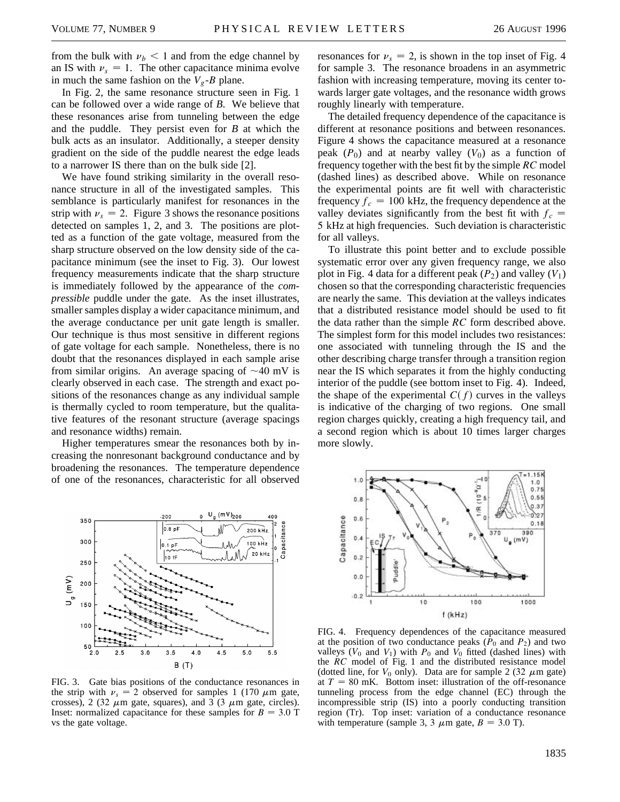from the bulk with  $\nu_b < 1$  and from the edge channel by an IS with  $v_s = 1$ . The other capacitance minima evolve in much the same fashion on the  $V_g$ -*B* plane.

In Fig. 2, the same resonance structure seen in Fig. 1 can be followed over a wide range of *B*. We believe that these resonances arise from tunneling between the edge and the puddle. They persist even for *B* at which the bulk acts as an insulator. Additionally, a steeper density gradient on the side of the puddle nearest the edge leads to a narrower IS there than on the bulk side [2].

We have found striking similarity in the overall resonance structure in all of the investigated samples. This semblance is particularly manifest for resonances in the strip with  $v_s = 2$ . Figure 3 shows the resonance positions detected on samples 1, 2, and 3. The positions are plotted as a function of the gate voltage, measured from the sharp structure observed on the low density side of the capacitance minimum (see the inset to Fig. 3). Our lowest frequency measurements indicate that the sharp structure is immediately followed by the appearance of the *compressible* puddle under the gate. As the inset illustrates, smaller samples display a wider capacitance minimum, and the average conductance per unit gate length is smaller. Our technique is thus most sensitive in different regions of gate voltage for each sample. Nonetheless, there is no doubt that the resonances displayed in each sample arise from similar origins. An average spacing of  $\sim$ 40 mV is clearly observed in each case. The strength and exact positions of the resonances change as any individual sample is thermally cycled to room temperature, but the qualitative features of the resonant structure (average spacings and resonance widths) remain.

Higher temperatures smear the resonances both by increasing the nonresonant background conductance and by broadening the resonances. The temperature dependence of one of the resonances, characteristic for all observed



FIG. 3. Gate bias positions of the conductance resonances in the strip with  $v_s = 2$  observed for samples 1 (170  $\mu$ m gate, crosses), 2 (32  $\mu$ m gate, squares), and 3 (3  $\mu$ m gate, circles). Inset: normalized capacitance for these samples for  $B = 3.0$  T vs the gate voltage.

resonances for  $v_s = 2$ , is shown in the top inset of Fig. 4 for sample 3. The resonance broadens in an asymmetric fashion with increasing temperature, moving its center towards larger gate voltages, and the resonance width grows roughly linearly with temperature.

The detailed frequency dependence of the capacitance is different at resonance positions and between resonances. Figure 4 shows the capacitance measured at a resonance peak  $(P_0)$  and at nearby valley  $(V_0)$  as a function of frequency together with the best fit by the simple *RC* model (dashed lines) as described above. While on resonance the experimental points are fit well with characteristic frequency  $f_c = 100 \text{ kHz}$ , the frequency dependence at the valley deviates significantly from the best fit with  $f_c$  = 5 kHz at high frequencies. Such deviation is characteristic for all valleys.

To illustrate this point better and to exclude possible systematic error over any given frequency range, we also plot in Fig. 4 data for a different peak  $(P_2)$  and valley  $(V_1)$ chosen so that the corresponding characteristic frequencies are nearly the same. This deviation at the valleys indicates that a distributed resistance model should be used to fit the data rather than the simple *RC* form described above. The simplest form for this model includes two resistances: one associated with tunneling through the IS and the other describing charge transfer through a transition region near the IS which separates it from the highly conducting interior of the puddle (see bottom inset to Fig. 4). Indeed, the shape of the experimental  $C(f)$  curves in the valleys is indicative of the charging of two regions. One small region charges quickly, creating a high frequency tail, and a second region which is about 10 times larger charges more slowly.



FIG. 4. Frequency dependences of the capacitance measured at the position of two conductance peaks  $(\hat{P}_0$  and  $P_2)$  and two valleys ( $V_0$  and  $V_1$ ) with  $P_0$  and  $V_0$  fitted (dashed lines) with the *RC* model of Fig. 1 and the distributed resistance model (dotted line, for  $V_0$  only). Data are for sample 2 (32  $\mu$ m gate) at  $T = 80$  mK. Bottom inset: illustration of the off-resonance tunneling process from the edge channel (EC) through the incompressible strip (IS) into a poorly conducting transition region (Tr). Top inset: variation of a conductance resonance with temperature (sample 3, 3  $\mu$ m gate, *B* = 3.0 T).